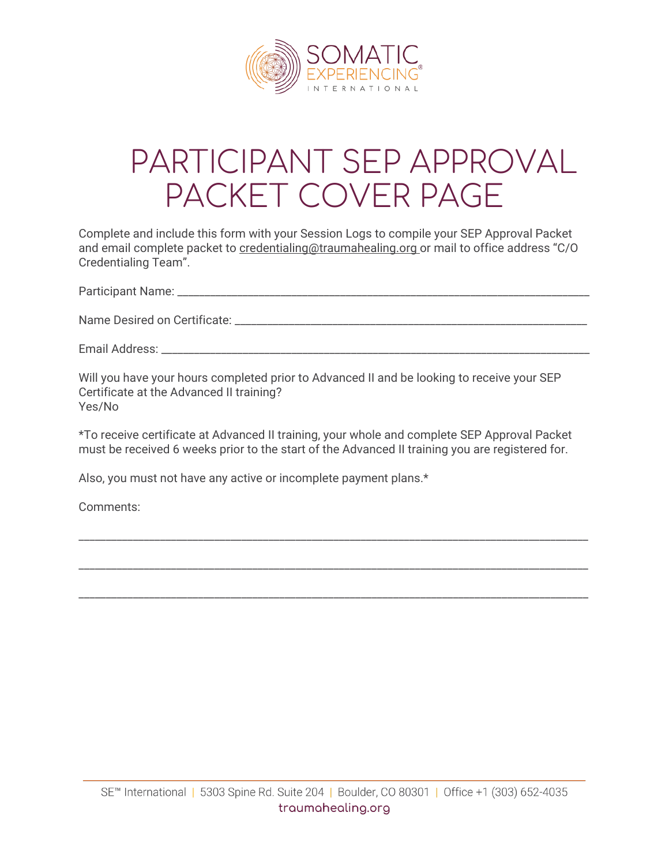

## PARTICIPANT SEP APPROVAL PACKET COVER PAGE

Complete and include this form with your Session Logs to compile your SEP Approval Packet and email complete packet to [credentialing@traumahealing.org](mailto:credentialing@traumahealing.org) or mail to office address "C/O Credentialing Team".

Participant Name:  $\Box$ 

Name Desired on Certificate: \_\_\_\_\_\_\_\_\_\_\_\_\_\_\_\_\_\_\_\_\_\_\_\_\_\_\_\_\_\_\_\_\_\_\_\_\_\_\_\_\_\_\_\_\_\_\_\_\_\_\_\_\_\_\_\_\_\_\_\_\_\_\_\_\_

Email Address: \_\_\_\_\_\_\_\_\_\_\_\_\_\_\_\_\_\_\_\_\_\_\_\_\_\_\_\_\_\_\_\_\_\_\_\_\_\_\_\_\_\_\_\_\_\_\_\_\_\_\_\_\_\_\_\_\_\_\_\_\_\_\_\_\_\_\_\_\_\_\_\_\_\_\_\_\_\_\_

Will you have your hours completed prior to Advanced II and be looking to receive your SEP Certificate at the Advanced II training? Yes/No

\*To receive certificate at Advanced II training, your whole and complete SEP Approval Packet must be received 6 weeks prior to the start of the Advanced II training you are registered for.

\_\_\_\_\_\_\_\_\_\_\_\_\_\_\_\_\_\_\_\_\_\_\_\_\_\_\_\_\_\_\_\_\_\_\_\_\_\_\_\_\_\_\_\_\_\_\_\_\_\_\_\_\_\_\_\_\_\_\_\_\_\_\_\_\_\_\_\_\_\_\_\_\_\_\_\_\_\_\_\_\_\_\_\_\_\_\_\_\_\_\_\_\_\_

\_\_\_\_\_\_\_\_\_\_\_\_\_\_\_\_\_\_\_\_\_\_\_\_\_\_\_\_\_\_\_\_\_\_\_\_\_\_\_\_\_\_\_\_\_\_\_\_\_\_\_\_\_\_\_\_\_\_\_\_\_\_\_\_\_\_\_\_\_\_\_\_\_\_\_\_\_\_\_\_\_\_\_\_\_\_\_\_\_\_\_\_\_\_

\_\_\_\_\_\_\_\_\_\_\_\_\_\_\_\_\_\_\_\_\_\_\_\_\_\_\_\_\_\_\_\_\_\_\_\_\_\_\_\_\_\_\_\_\_\_\_\_\_\_\_\_\_\_\_\_\_\_\_\_\_\_\_\_\_\_\_\_\_\_\_\_\_\_\_\_\_\_\_\_\_\_\_\_\_\_\_\_\_\_\_\_\_\_

Also, you must not have any active or incomplete payment plans.\*

Comments: